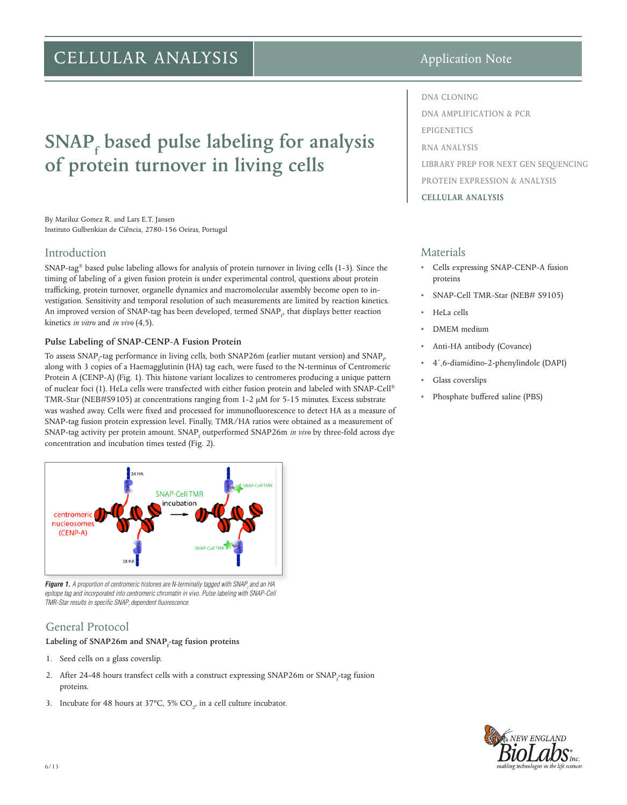## CELLULAR ANALYSIS

# **SNAP**<sub>f</sub> based pulse labeling for analysis **of protein turnover in living cells**

By Mariluz Gomez R. and Lars E.T. Jansen Instituto Gulbenkian de Ciência, 2780-156 Oeiras, Portugal

## Introduction

SNAP-tag® based pulse labeling allows for analysis of protein turnover in living cells (1-3). Since the timing of labeling of a given fusion protein is under experimental control, questions about protein trafficking, protein turnover, organelle dynamics and macromolecular assembly become open to investigation. Sensitivity and temporal resolution of such measurements are limited by reaction kinetics. An improved version of SNAP-tag has been developed, termed SNAP<sub>p</sub>, that displays better reaction kinetics *in vitro* and *in vivo* (4,5).

#### **Pulse Labeling of SNAP-CENP-A Fusion Protein**

To assess SNAP<sub>f</sub>-tag performance in living cells, both SNAP26m (earlier mutant version) and SNAP<sub>p</sub> along with 3 copies of a Haemagglutinin (HA) tag each, were fused to the N-terminus of Centromeric Protein A (CENP-A) (Fig. 1). This histone variant localizes to centromeres producing a unique pattern of nuclear foci (1). HeLa cells were transfected with either fusion protein and labeled with SNAP-Cell® TMR-Star (NEB#S9105) at concentrations ranging from 1-2 μM for 5-15 minutes. Excess substrate was washed away. Cells were fixed and processed for immunofluorescence to detect HA as a measure of SNAP-tag fusion protein expression level. Finally, TMR/HA ratios were obtained as a measurement of SNAP-tag activity per protein amount. SNAP<sub>f</sub> outperformed SNAP26m *in vivo* by three-fold across dye concentration and incubation times tested (Fig. 2).



**Figure 1.** A proportion of centromeric histones are N-terminally tagged with SNAP<sub>f</sub> and an HA *epitope tag and incorporated into centromeric chromatin in vivo. Pulse labeling with SNAP-Cell TMR-Star results in specific SNAPf dependent fluorescence.*

## General Protocol

## Labeling of SNAP26m and SNAP<sub>f</sub>-tag fusion proteins

- 1. Seed cells on a glass coverslip.
- 2. After 24-48 hours transfect cells with a construct expressing SNAP26m or SNAP<sub>f</sub>-tag fusion proteins.
- 3. Incubate for 48 hours at 37 $\degree$ C, 5% CO<sub>2</sub>, in a cell culture incubator.

## Application Note

**DNA CLONING DNA AMPLIFICATION & PCR EPIGENETICS RNA ANALYSIS LIBRARY PREP FOR NEXT GEN SEQUENCING PROTEIN EXPRESSION & ANALYSIS CELLULAR ANALYSIS**

## Materials

- Cells expressing SNAP-CENP-A fusion proteins
- SNAP-Cell TMR-Star (NEB# S9105)
- HeLa cells
- DMEM medium
- Anti-HA antibody (Covance)
- 4´,6-diamidino-2-phenylindole (DAPI)
- Glass coverslips
- Phosphate buffered saline (PBS)